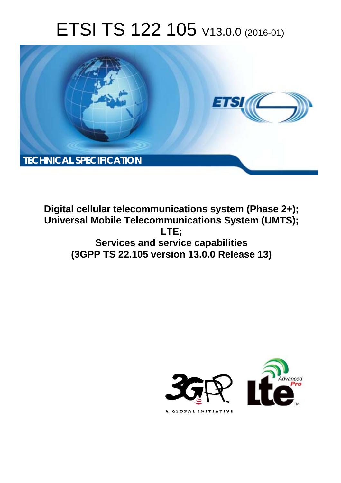# ETSI TS 122 105 V13.0.0 (2016-01)



**Digital cellular telecommunications system (Phase 2+); Universal Mobile Tel elecommunications System ( (UMTS); Services s and service capabilities (3GPP TS 22.1 .105 version 13.0.0 Release 13 13) LTE;** 

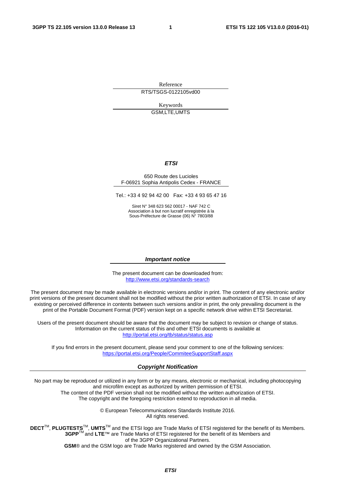Reference RTS/TSGS-0122105vd00

> Keywords GSM,LTE,UMTS

#### *ETSI*

#### 650 Route des Lucioles F-06921 Sophia Antipolis Cedex - FRANCE

Tel.: +33 4 92 94 42 00 Fax: +33 4 93 65 47 16

Siret N° 348 623 562 00017 - NAF 742 C Association à but non lucratif enregistrée à la Sous-Préfecture de Grasse (06) N° 7803/88

#### *Important notice*

The present document can be downloaded from: <http://www.etsi.org/standards-search>

The present document may be made available in electronic versions and/or in print. The content of any electronic and/or print versions of the present document shall not be modified without the prior written authorization of ETSI. In case of any existing or perceived difference in contents between such versions and/or in print, the only prevailing document is the print of the Portable Document Format (PDF) version kept on a specific network drive within ETSI Secretariat.

Users of the present document should be aware that the document may be subject to revision or change of status. Information on the current status of this and other ETSI documents is available at <http://portal.etsi.org/tb/status/status.asp>

If you find errors in the present document, please send your comment to one of the following services: <https://portal.etsi.org/People/CommiteeSupportStaff.aspx>

#### *Copyright Notification*

No part may be reproduced or utilized in any form or by any means, electronic or mechanical, including photocopying and microfilm except as authorized by written permission of ETSI.

The content of the PDF version shall not be modified without the written authorization of ETSI. The copyright and the foregoing restriction extend to reproduction in all media.

> © European Telecommunications Standards Institute 2016. All rights reserved.

**DECT**TM, **PLUGTESTS**TM, **UMTS**TM and the ETSI logo are Trade Marks of ETSI registered for the benefit of its Members. **3GPP**TM and **LTE**™ are Trade Marks of ETSI registered for the benefit of its Members and of the 3GPP Organizational Partners.

**GSM**® and the GSM logo are Trade Marks registered and owned by the GSM Association.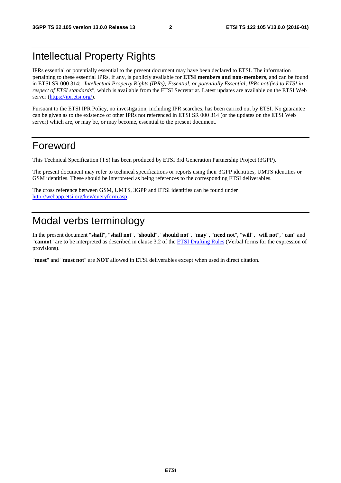## Intellectual Property Rights

IPRs essential or potentially essential to the present document may have been declared to ETSI. The information pertaining to these essential IPRs, if any, is publicly available for **ETSI members and non-members**, and can be found in ETSI SR 000 314: *"Intellectual Property Rights (IPRs); Essential, or potentially Essential, IPRs notified to ETSI in respect of ETSI standards"*, which is available from the ETSI Secretariat. Latest updates are available on the ETSI Web server [\(https://ipr.etsi.org/](https://ipr.etsi.org/)).

Pursuant to the ETSI IPR Policy, no investigation, including IPR searches, has been carried out by ETSI. No guarantee can be given as to the existence of other IPRs not referenced in ETSI SR 000 314 (or the updates on the ETSI Web server) which are, or may be, or may become, essential to the present document.

### Foreword

This Technical Specification (TS) has been produced by ETSI 3rd Generation Partnership Project (3GPP).

The present document may refer to technical specifications or reports using their 3GPP identities, UMTS identities or GSM identities. These should be interpreted as being references to the corresponding ETSI deliverables.

The cross reference between GSM, UMTS, 3GPP and ETSI identities can be found under [http://webapp.etsi.org/key/queryform.asp.](http://webapp.etsi.org/key/queryform.asp)

## Modal verbs terminology

In the present document "**shall**", "**shall not**", "**should**", "**should not**", "**may**", "**need not**", "**will**", "**will not**", "**can**" and "**cannot**" are to be interpreted as described in clause 3.2 of the [ETSI Drafting Rules](http://portal.etsi.org/Help/editHelp!/Howtostart/ETSIDraftingRules.aspx) (Verbal forms for the expression of provisions).

"**must**" and "**must not**" are **NOT** allowed in ETSI deliverables except when used in direct citation.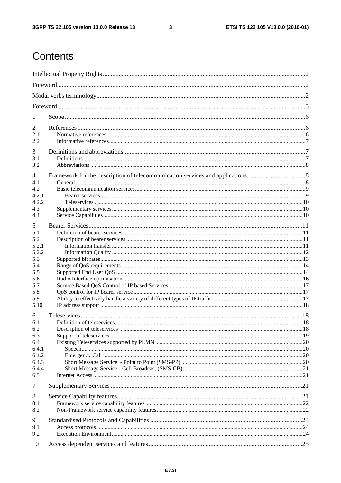$\mathbf{3}$ 

## Contents

| 1              |  |  |  |  |  |  |  |  |  |
|----------------|--|--|--|--|--|--|--|--|--|
| 2              |  |  |  |  |  |  |  |  |  |
| 2.1            |  |  |  |  |  |  |  |  |  |
| 2.2            |  |  |  |  |  |  |  |  |  |
| 3              |  |  |  |  |  |  |  |  |  |
| 3.1<br>3.2     |  |  |  |  |  |  |  |  |  |
|                |  |  |  |  |  |  |  |  |  |
| 4<br>4.1       |  |  |  |  |  |  |  |  |  |
| 4.2            |  |  |  |  |  |  |  |  |  |
| 4.2.1          |  |  |  |  |  |  |  |  |  |
| 4.2.2          |  |  |  |  |  |  |  |  |  |
| 4.3            |  |  |  |  |  |  |  |  |  |
| 4.4            |  |  |  |  |  |  |  |  |  |
| 5              |  |  |  |  |  |  |  |  |  |
| 5.1            |  |  |  |  |  |  |  |  |  |
| 5.2            |  |  |  |  |  |  |  |  |  |
| 5.2.1<br>5.2.2 |  |  |  |  |  |  |  |  |  |
| 5.3            |  |  |  |  |  |  |  |  |  |
| 5.4            |  |  |  |  |  |  |  |  |  |
| 5.5            |  |  |  |  |  |  |  |  |  |
| 5.6            |  |  |  |  |  |  |  |  |  |
| 5.7            |  |  |  |  |  |  |  |  |  |
| 5.8            |  |  |  |  |  |  |  |  |  |
| 5.9            |  |  |  |  |  |  |  |  |  |
| 5.10           |  |  |  |  |  |  |  |  |  |
| 6              |  |  |  |  |  |  |  |  |  |
| 6.1            |  |  |  |  |  |  |  |  |  |
| 6.2            |  |  |  |  |  |  |  |  |  |
| 6.3            |  |  |  |  |  |  |  |  |  |
| 6.4<br>6.4.1   |  |  |  |  |  |  |  |  |  |
| 6.4.2          |  |  |  |  |  |  |  |  |  |
| 6.4.3          |  |  |  |  |  |  |  |  |  |
| 6.4.4          |  |  |  |  |  |  |  |  |  |
| 6.5            |  |  |  |  |  |  |  |  |  |
| 7              |  |  |  |  |  |  |  |  |  |
| 8              |  |  |  |  |  |  |  |  |  |
| 8.1            |  |  |  |  |  |  |  |  |  |
| 8.2            |  |  |  |  |  |  |  |  |  |
| 9              |  |  |  |  |  |  |  |  |  |
| 9.1            |  |  |  |  |  |  |  |  |  |
| 9.2            |  |  |  |  |  |  |  |  |  |
| 10             |  |  |  |  |  |  |  |  |  |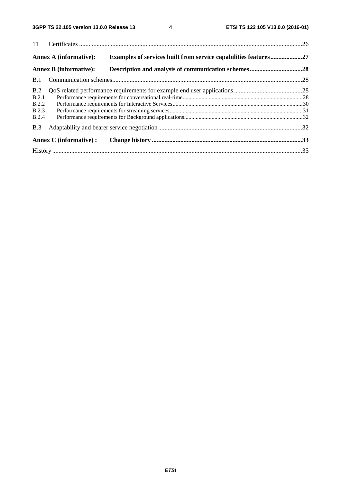|            | <b>Annex A (informative):</b> | Examples of services built from service capabilities features27 |  |
|------------|-------------------------------|-----------------------------------------------------------------|--|
|            | <b>Annex B</b> (informative): |                                                                 |  |
| <b>B.1</b> |                               |                                                                 |  |
| B.2        |                               |                                                                 |  |
| B.2.1      |                               |                                                                 |  |
| B.2.2      |                               |                                                                 |  |
| B.2.3      |                               |                                                                 |  |
| B.2.4      |                               |                                                                 |  |
| B.3        |                               |                                                                 |  |
|            | Annex C (informative) :       |                                                                 |  |
|            |                               |                                                                 |  |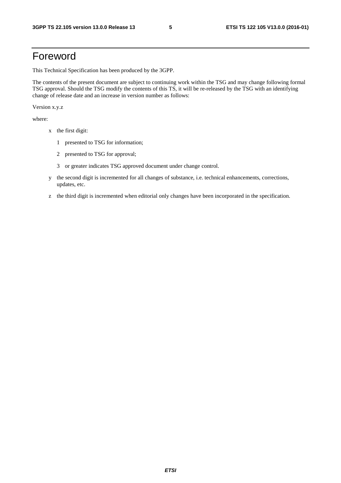## Foreword

This Technical Specification has been produced by the 3GPP.

The contents of the present document are subject to continuing work within the TSG and may change following formal TSG approval. Should the TSG modify the contents of this TS, it will be re-released by the TSG with an identifying change of release date and an increase in version number as follows:

Version x.y.z

where:

- x the first digit:
	- 1 presented to TSG for information;
	- 2 presented to TSG for approval;
	- 3 or greater indicates TSG approved document under change control.
- y the second digit is incremented for all changes of substance, i.e. technical enhancements, corrections, updates, etc.
- z the third digit is incremented when editorial only changes have been incorporated in the specification.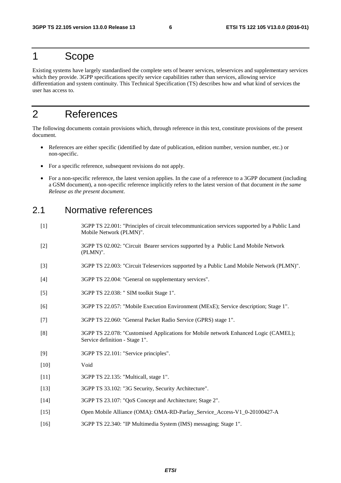### 1 Scope

Existing systems have largely standardised the complete sets of bearer services, teleservices and supplementary services which they provide. 3GPP specifications specify service capabilities rather than services, allowing service differentiation and system continuity. This Technical Specification (TS) describes how and what kind of services the user has access to.

### 2 References

The following documents contain provisions which, through reference in this text, constitute provisions of the present document.

- References are either specific (identified by date of publication, edition number, version number, etc.) or non-specific.
- For a specific reference, subsequent revisions do not apply.
- For a non-specific reference, the latest version applies. In the case of a reference to a 3GPP document (including a GSM document), a non-specific reference implicitly refers to the latest version of that document *in the same Release as the present document*.

### 2.1 Normative references

- [1] 3GPP TS 22.001: "Principles of circuit telecommunication services supported by a Public Land Mobile Network (PLMN)".
- [2] 3GPP TS 02.002: "Circuit Bearer services supported by a Public Land Mobile Network (PLMN)".
- [3] 3GPP TS 22.003: "Circuit Teleservices supported by a Public Land Mobile Network (PLMN)".
- [4] 3GPP TS 22.004: "General on supplementary services".
- [5] 3GPP TS 22.038: " SIM toolkit Stage 1".
- [6] 3GPP TS 22.057: "Mobile Execution Environment (MExE); Service description; Stage 1".
- [7] 3GPP TS 22.060: "General Packet Radio Service (GPRS) stage 1".
- [8] 3GPP TS 22.078: "Customised Applications for Mobile network Enhanced Logic (CAMEL); Service definition - Stage 1".
- [9] 3GPP TS 22.101: "Service principles".
- [10] Void
- [11] 3GPP TS 22.135: "Multicall, stage 1".
- [13] 3GPP TS 33.102: "3G Security, Security Architecture".
- [14] 3GPP TS 23.107: "QoS Concept and Architecture; Stage 2".
- [15] Open Mobile Alliance (OMA): OMA-RD-Parlay\_Service\_Access-V1\_0-20100427-A
- [16] 3GPP TS 22.340: "IP Multimedia System (IMS) messaging; Stage 1".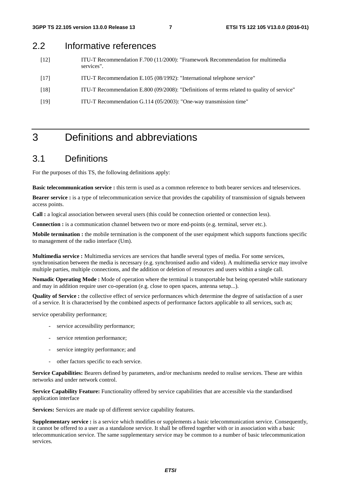### 2.2 Informative references

- [12] ITU-T Recommendation F.700 (11/2000): "Framework Recommendation for multimedia services".
- [17] ITU-T Recommendation E.105 (08/1992): "International telephone service"
- [18] ITU-T Recommendation E.800 (09/2008): "Definitions of terms related to quality of service"
- [19] ITU-T Recommendation G.114 (05/2003): "One-way transmission time"

## 3 Definitions and abbreviations

### 3.1 Definitions

For the purposes of this TS, the following definitions apply:

**Basic telecommunication service :** this term is used as a common reference to both bearer services and teleservices.

**Bearer service :** is a type of telecommunication service that provides the capability of transmission of signals between access points.

**Call :** a logical association between several users (this could be connection oriented or connection less).

**Connection :** is a communication channel between two or more end-points (e.g. terminal, server etc.).

**Mobile termination :** the mobile termination is the component of the user equipment which supports functions specific to management of the radio interface (Um).

**Multimedia service :** Multimedia services are services that handle several types of media. For some services, synchronisation between the media is necessary (e.g. synchronised audio and video). A multimedia service may involve multiple parties, multiple connections, and the addition or deletion of resources and users within a single call.

**Nomadic Operating Mode :** Mode of operation where the terminal is transportable but being operated while stationary and may in addition require user co-operation (e.g. close to open spaces, antenna setup...).

**Quality of Service :** the collective effect of service performances which determine the degree of satisfaction of a user of a service. It is characterised by the combined aspects of performance factors applicable to all services, such as;

service operability performance;

- service accessibility performance;
- service retention performance;
- service integrity performance; and
- other factors specific to each service.

**Service Capabilities:** Bearers defined by parameters, and/or mechanisms needed to realise services. These are within networks and under network control.

**Service Capability Feature:** Functionality offered by service capabilities that are accessible via the standardised application interface

**Services:** Services are made up of different service capability features.

**Supplementary service :** is a service which modifies or supplements a basic telecommunication service. Consequently, it cannot be offered to a user as a standalone service. It shall be offered together with or in association with a basic telecommunication service. The same supplementary service may be common to a number of basic telecommunication services.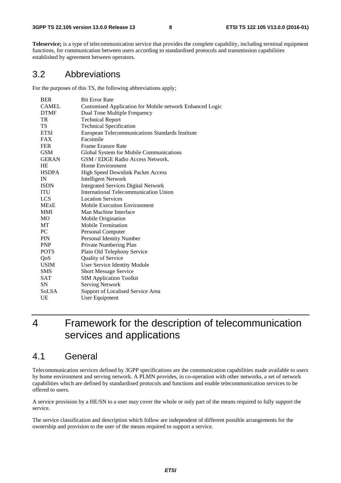**Teleservice;** is a type of telecommunication service that provides the complete capability, including terminal equipment functions, for communication between users according to standardised protocols and transmission capabilities established by agreement between operators.

### 3.2 Abbreviations

For the purposes of this TS, the following abbreviations apply;

| <b>BER</b>   | <b>Bit Error Rate</b>                                    |
|--------------|----------------------------------------------------------|
| <b>CAMEL</b> | Customised Application for Mobile network Enhanced Logic |
| <b>DTMF</b>  | Dual Tone Multiple Frequency                             |
| TR           | <b>Technical Report</b>                                  |
| TS           | <b>Technical Specification</b>                           |
| <b>ETSI</b>  | European Telecommunications Standards Institute          |
| FAX          | Facsimile                                                |
| FER          | Frame Erasure Rate                                       |
| <b>GSM</b>   | Global System for Mobile Communications                  |
| <b>GERAN</b> | GSM / EDGE Radio Access Network.                         |
| <b>HE</b>    | Home Environment                                         |
| <b>HSDPA</b> | High Speed Downlink Packet Access                        |
| IN           | <b>Intelligent Network</b>                               |
| <b>ISDN</b>  | <b>Integrated Services Digital Network</b>               |
| <b>ITU</b>   | International Telecommunication Union                    |
| LCS          | <b>Location Services</b>                                 |
| <b>MExE</b>  | <b>Mobile Execution Environment</b>                      |
| MMI          | Man Machine Interface                                    |
| MО           | Mobile Origination                                       |
| МT           | <b>Mobile Termination</b>                                |
| PC.          | Personal Computer                                        |
| <b>PIN</b>   | Personal Identity Number                                 |
| PNP          | Private Numbering Plan                                   |
| <b>POTS</b>  | Plain Old Telephony Service                              |
| QoS          | <b>Quality of Service</b>                                |
| <b>USIM</b>  | User Service Identity Module                             |
| <b>SMS</b>   | <b>Short Message Service</b>                             |
| SAT          | <b>SIM Application Toolkit</b>                           |
| <b>SN</b>    | <b>Serving Network</b>                                   |
| <b>SoLSA</b> | Support of Localised Service Area                        |
| UE           | User Equipment                                           |
|              |                                                          |

## 4 Framework for the description of telecommunication services and applications

### 4.1 General

Telecommunication services defined by 3GPP specifications are the communication capabilities made available to users by home environment and serving network. A PLMN provides, in co-operation with other networks, a set of network capabilities which are defined by standardised protocols and functions and enable telecommunication services to be offered to users.

A service provision by a HE/SN to a user may cover the whole or only part of the means required to fully support the service.

The service classification and description which follow are independent of different possible arrangements for the ownership and provision to the user of the means required to support a service.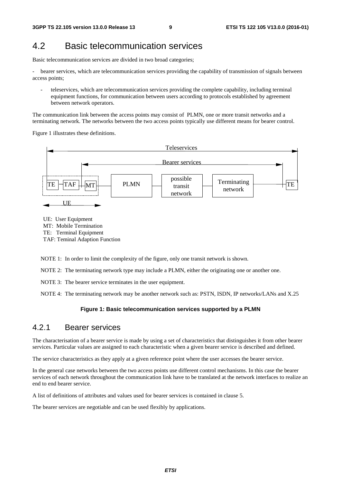### 4.2 Basic telecommunication services

Basic telecommunication services are divided in two broad categories;

bearer services, which are telecommunication services providing the capability of transmission of signals between access points;

- teleservices, which are telecommunication services providing the complete capability, including terminal equipment functions, for communication between users according to protocols established by agreement between network operators.

The communication link between the access points may consist of PLMN, one or more transit networks and a terminating network. The networks between the two access points typically use different means for bearer control.

Figure 1 illustrates these definitions.



UE: User Equipment MT: Mobile Termination TE: Terminal Equipment TAF: Teminal Adaption Function

NOTE 1: In order to limit the complexity of the figure, only one transit network is shown.

NOTE 2: The terminating network type may include a PLMN, either the originating one or another one.

NOTE 3: The bearer service terminates in the user equipment.

NOTE 4: The terminating network may be another network such as: PSTN, ISDN, IP networks/LANs and X.25

#### **Figure 1: Basic telecommunication services supported by a PLMN**

#### 4.2.1 Bearer services

The characterisation of a bearer service is made by using a set of characteristics that distinguishes it from other bearer services. Particular values are assigned to each characteristic when a given bearer service is described and defined.

The service characteristics as they apply at a given reference point where the user accesses the bearer service.

In the general case networks between the two access points use different control mechanisms. In this case the bearer services of each network throughout the communication link have to be translated at the network interfaces to realize an end to end bearer service.

A list of definitions of attributes and values used for bearer services is contained in clause 5.

The bearer services are negotiable and can be used flexibly by applications.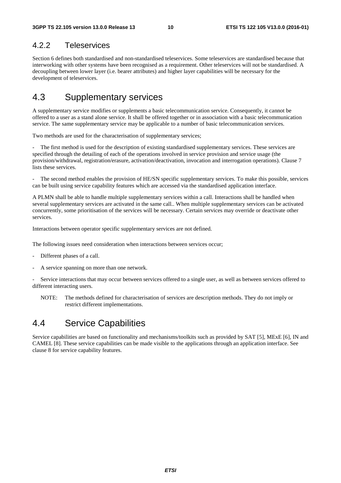### 4.2.2 Teleservices

Section 6 defines both standardised and non-standardised teleservices. Some teleservices are standardised because that interworking with other systems have been recognised as a requirement. Other teleservices will not be standardised. A decoupling between lower layer (i.e. bearer attributes) and higher layer capabilities will be necessary for the development of teleservices.

### 4.3 Supplementary services

A supplementary service modifies or supplements a basic telecommunication service. Consequently, it cannot be offered to a user as a stand alone service. It shall be offered together or in association with a basic telecommunication service. The same supplementary service may be applicable to a number of basic telecommunication services.

Two methods are used for the characterisation of supplementary services;

The first method is used for the description of existing standardised supplementary services. These services are specified through the detailing of each of the operations involved in service provision and service usage (the provision/withdrawal, registration/erasure, activation/deactivation, invocation and interrogation operations). Clause 7 lists these services.

The second method enables the provision of HE/SN specific supplementary services. To make this possible, services can be built using service capability features which are accessed via the standardised application interface.

A PLMN shall be able to handle multiple supplementary services within a call. Interactions shall be handled when several supplementary services are activated in the same call.. When multiple supplementary services can be activated concurrently, some prioritisation of the services will be necessary. Certain services may override or deactivate other services.

Interactions between operator specific supplementary services are not defined.

The following issues need consideration when interactions between services occur;

- Different phases of a call.
- A service spanning on more than one network.

- Service interactions that may occur between services offered to a single user, as well as between services offered to different interacting users.

NOTE: The methods defined for characterisation of services are description methods. They do not imply or restrict different implementations.

### 4.4 Service Capabilities

Service capabilities are based on functionality and mechanisms/toolkits such as provided by SAT [5], MExE [6], IN and CAMEL [8]. These service capabilities can be made visible to the applications through an application interface. See clause 8 for service capability features.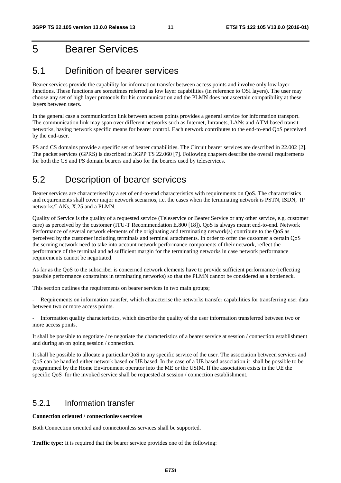## 5 Bearer Services

### 5.1 Definition of bearer services

Bearer services provide the capability for information transfer between access points and involve only low layer functions. These functions are sometimes referred as low layer capabilities (in reference to OSI layers). The user may choose any set of high layer protocols for his communication and the PLMN does not ascertain compatibility at these layers between users.

In the general case a communication link between access points provides a general service for information transport. The communication link may span over different networks such as Internet, Intranets, LANs and ATM based transit networks, having network specific means for bearer control. Each network contributes to the end-to-end QoS perceived by the end-user.

PS and CS domains provide a specific set of bearer capabilities. The Circuit bearer services are described in 22.002 [2]. The packet services (GPRS) is described in 3GPP TS 22.060 [7]. Following chapters describe the overall requirements for both the CS and PS domain bearers and also for the bearers used by teleservices.

## 5.2 Description of bearer services

Bearer services are characterised by a set of end-to-end characteristics with requirements on QoS. The characteristics and requirements shall cover major network scenarios, i.e. the cases when the terminating network is PSTN, ISDN, IP networks/LANs, X.25 and a PLMN.

Quality of Service is the quality of a requested service (Teleservice or Bearer Service or any other service, e.g. customer care) as perceived by the customer (ITU-T Recommendation E.800 [18]). QoS is always meant end-to-end. Network Performance of several network elements of the originating and terminating network(s) contribute to the QoS as perceived by the customer including terminals and terminal attachments. In order to offer the customer a certain QoS the serving network need to take into account network performance components of their network, reflect the performance of the terminal and ad sufficient margin for the terminating networks in case network performance requirements cannot be negotiated.

As far as the QoS to the subscriber is concerned network elements have to provide sufficient performance (reflecting possible performance constraints in terminating networks) so that the PLMN cannot be considered as a bottleneck.

This section outlines the requirements on bearer services in two main groups;

Requirements on information transfer, which characterise the networks transfer capabilities for transferring user data between two or more access points.

- Information quality characteristics, which describe the quality of the user information transferred between two or more access points.

It shall be possible to negotiate / re negotiate the characteristics of a bearer service at session / connection establishment and during an on going session / connection.

It shall be possible to allocate a particular QoS to any specific service of the user. The association between services and QoS can be handled either network based or UE based. In the case of a UE based association it shall be possible to be programmed by the Home Environment operator into the ME or the USIM. If the association exists in the UE the specific QoS for the invoked service shall be requested at session / connection establishment.

### 5.2.1 Information transfer

**Connection oriented / connectionless services** 

Both Connection oriented and connectionless services shall be supported.

**Traffic type:** It is required that the bearer service provides one of the following: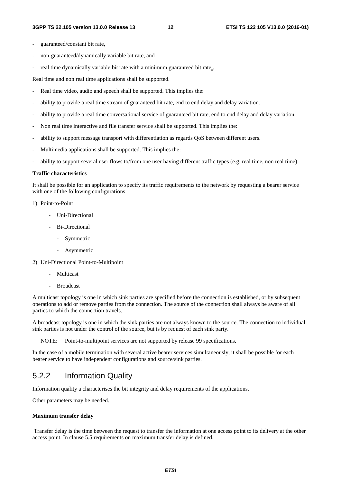- guaranteed/constant bit rate,
- non-guaranteed/dynamically variable bit rate, and
- real time dynamically variable bit rate with a minimum guaranteed bit rate...

Real time and non real time applications shall be supported.

- Real time video, audio and speech shall be supported. This implies the:
- ability to provide a real time stream of guaranteed bit rate, end to end delay and delay variation.
- ability to provide a real time conversational service of guaranteed bit rate, end to end delay and delay variation.
- Non real time interactive and file transfer service shall be supported. This implies the:
- ability to support message transport with differentiation as regards QoS between different users.
- Multimedia applications shall be supported. This implies the:
- ability to support several user flows to/from one user having different traffic types (e.g. real time, non real time)

#### **Traffic characteristics**

It shall be possible for an application to specify its traffic requirements to the network by requesting a bearer service with one of the following configurations

#### 1) Point-to-Point

- Uni-Directional
- Bi-Directional
	- Symmetric
	- Asymmetric
- 2) Uni-Directional Point-to-Multipoint
	- Multicast
	- **Broadcast**

A multicast topology is one in which sink parties are specified before the connection is established, or by subsequent operations to add or remove parties from the connection. The source of the connection shall always be aware of all parties to which the connection travels.

A broadcast topology is one in which the sink parties are not always known to the source. The connection to individual sink parties is not under the control of the source, but is by request of each sink party.

NOTE: Point-to-multipoint services are not supported by release 99 specifications.

In the case of a mobile termination with several active bearer services simultaneously, it shall be possible for each bearer service to have independent configurations and source/sink parties.

### 5.2.2 Information Quality

Information quality a characterises the bit integrity and delay requirements of the applications.

Other parameters may be needed.

#### **Maximum transfer delay**

 Transfer delay is the time between the request to transfer the information at one access point to its delivery at the other access point. In clause 5.5 requirements on maximum transfer delay is defined.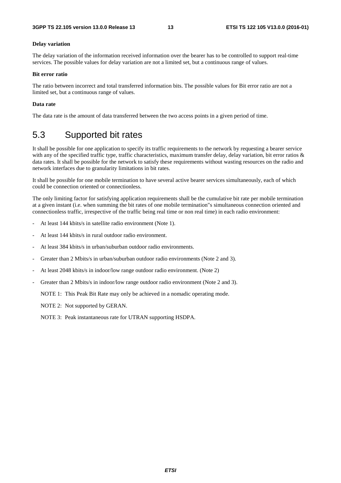#### **Delay variation**

The delay variation of the information received information over the bearer has to be controlled to support real-time services. The possible values for delay variation are not a limited set, but a continuous range of values.

#### **Bit error ratio**

The ratio between incorrect and total transferred information bits. The possible values for Bit error ratio are not a limited set, but a continuous range of values.

#### **Data rate**

The data rate is the amount of data transferred between the two access points in a given period of time.

### 5.3 Supported bit rates

It shall be possible for one application to specify its traffic requirements to the network by requesting a bearer service with any of the specified traffic type, traffic characteristics, maximum transfer delay, delay variation, bit error ratios & data rates. It shall be possible for the network to satisfy these requirements without wasting resources on the radio and network interfaces due to granularity limitations in bit rates.

It shall be possible for one mobile termination to have several active bearer services simultaneously, each of which could be connection oriented or connectionless.

The only limiting factor for satisfying application requirements shall be the cumulative bit rate per mobile termination at a given instant (i.e. when summing the bit rates of one mobile termination"s simultaneous connection oriented and connectionless traffic, irrespective of the traffic being real time or non real time) in each radio environment:

- At least 144 kbits/s in satellite radio environment (Note 1).
- At least 144 kbits/s in rural outdoor radio environment.
- At least 384 kbits/s in urban/suburban outdoor radio environments.
- Greater than 2 Mbits/s in urban/suburban outdoor radio environments (Note 2 and 3).
- At least 2048 kbits/s in indoor/low range outdoor radio environment. (Note 2)
- Greater than 2 Mbits/s in indoor/low range outdoor radio environment (Note 2 and 3).

NOTE 1: This Peak Bit Rate may only be achieved in a nomadic operating mode.

NOTE 2: Not supported by GERAN.

NOTE 3: Peak instantaneous rate for UTRAN supporting HSDPA.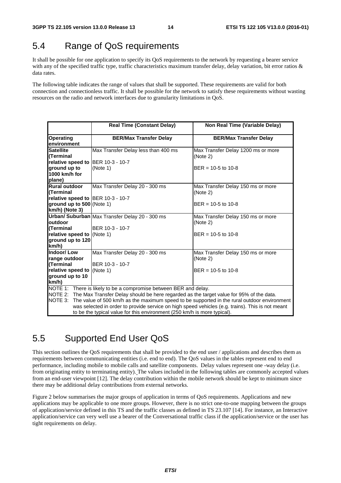### 5.4 Range of QoS requirements

It shall be possible for one application to specify its QoS requirements to the network by requesting a bearer service with any of the specified traffic type, traffic characteristics maximum transfer delay, delay variation, bit error ratios & data rates.

The following table indicates the range of values that shall be supported. These requirements are valid for both connection and connectionless traffic. It shall be possible for the network to satisfy these requirements without wasting resources on the radio and network interfaces due to granularity limitations in QoS.

|                                                                                                                                                                                                                                                                                                                                                                                                                                                                | <b>Real Time (Constant Delay)</b>                 | Non Real Time (Variable Delay)                                        |  |  |  |  |
|----------------------------------------------------------------------------------------------------------------------------------------------------------------------------------------------------------------------------------------------------------------------------------------------------------------------------------------------------------------------------------------------------------------------------------------------------------------|---------------------------------------------------|-----------------------------------------------------------------------|--|--|--|--|
| <b>Operating</b><br>environment                                                                                                                                                                                                                                                                                                                                                                                                                                | <b>BER/Max Transfer Delay</b>                     | <b>BER/Max Transfer Delay</b>                                         |  |  |  |  |
| Satellite<br>l(Terminal                                                                                                                                                                                                                                                                                                                                                                                                                                        | Max Transfer Delay less than 400 ms               | Max Transfer Delay 1200 ms or more<br>(Note 2)                        |  |  |  |  |
| relative speed to BER 10-3 - 10-7<br>ground up to<br>1000 km/h for<br>plane)                                                                                                                                                                                                                                                                                                                                                                                   | (Note 1)                                          | $BER = 10-5$ to 10-8                                                  |  |  |  |  |
| Rural outdoor<br>l(Terminal<br>relative speed to BER 10-3 - 10-7                                                                                                                                                                                                                                                                                                                                                                                               | Max Transfer Delay 20 - 300 ms                    | Max Transfer Delay 150 ms or more<br>(Note 2)                         |  |  |  |  |
| ground up to 500 (Note 1)<br>km/h) (Note 3)                                                                                                                                                                                                                                                                                                                                                                                                                    |                                                   | $BER = 10-5$ to 10-8                                                  |  |  |  |  |
| outdoor                                                                                                                                                                                                                                                                                                                                                                                                                                                        | Urban/ Suburban Max Transfer Delay 20 - 300 ms    | Max Transfer Delay 150 ms or more<br>(Note 2)                         |  |  |  |  |
| l(Terminal<br>relative speed to (Note 1)<br>ground up to 120<br>km/h)                                                                                                                                                                                                                                                                                                                                                                                          | BER 10-3 - 10-7                                   | $BER = 10-5$ to 10-8                                                  |  |  |  |  |
| Indoor/Low<br>range outdoor<br>(Terminal<br>relative speed to (Note 1)<br>ground up to 10<br>km/h)                                                                                                                                                                                                                                                                                                                                                             | Max Transfer Delay 20 - 300 ms<br>BER 10-3 - 10-7 | Max Transfer Delay 150 ms or more<br>(Note 2)<br>$BER = 10-5$ to 10-8 |  |  |  |  |
| NOTE 1: There is likely to be a compromise between BER and delay.<br>NOTE 2: The Max Transfer Delay should be here regarded as the target value for 95% of the data.<br>NOTE 3:<br>The value of 500 km/h as the maximum speed to be supported in the rural outdoor environment<br>was selected in order to provide service on high speed vehicles (e.g. trains). This is not meant<br>to be the typical value for this environment (250 km/h is more typical). |                                                   |                                                                       |  |  |  |  |

### 5.5 Supported End User QoS

This section outlines the QoS requirements that shall be provided to the end user / applications and describes them as requirements between communicating entities (i.e. end to end). The QoS values in the tables represent end to end performance, including mobile to mobile calls and satellite components. Delay values represent one -way delay (i.e. from originating entity to terminating entity). The values included in the following tables are commonly accepted values from an end-user viewpoint [12]. The delay contribution within the mobile network should be kept to minimum since there may be additional delay contributions from external networks.

Figure 2 below summarises the major groups of application in terms of QoS requirements. Applications and new applications may be applicable to one more groups. However, there is no strict one-to-one mapping between the groups of application/service defined in this TS and the traffic classes as defined in TS 23.107 [14]. For instance, an Interactive application/service can very well use a bearer of the Conversational traffic class if the application/service or the user has tight requirements on delay.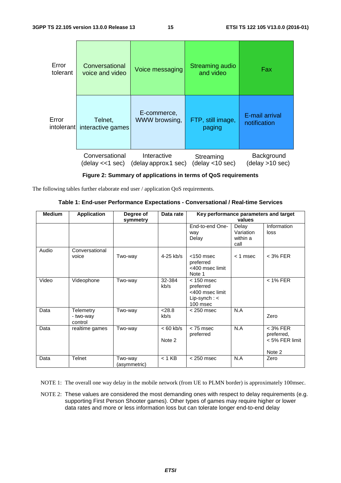| Error<br>tolerant | Conversational<br>voice and video | Voice messaging      | <b>Streaming audio</b><br>and video | Fax             |
|-------------------|-----------------------------------|----------------------|-------------------------------------|-----------------|
| Error             | Telnet,                           | E-commerce,          | FTP, still image,                   | E-mail arrival  |
| intolerant        | interactive games                 | WWW browsing,        | paging                              | notification    |
|                   | Conversational                    | Interactive          | Streaming                           | Background      |
|                   | (delay <<1 sec)                   | (delay approx 1 sec) | (delay <10 sec)                     | (delay >10 sec) |

**Figure 2: Summary of applications in terms of QoS requirements** 

The following tables further elaborate end user / application QoS requirements.

|  | Table 1: End-user Performance Expectations - Conversational / Real-time Services |  |  |
|--|----------------------------------------------------------------------------------|--|--|
|--|----------------------------------------------------------------------------------|--|--|

| <b>Medium</b> | <b>Application</b>                | Degree of<br>symmetry   | Data rate             | Key performance parameters and target<br>values                              |                                        |                                                      |
|---------------|-----------------------------------|-------------------------|-----------------------|------------------------------------------------------------------------------|----------------------------------------|------------------------------------------------------|
|               |                                   |                         |                       | End-to-end One-<br>way<br>Delay                                              | Delay<br>Variation<br>within a<br>call | Information<br>loss                                  |
| Audio         | Conversational<br>voice           | Two-way                 | 4-25 kb/s             | $<$ 150 msec<br>preferred<br><400 msec limit<br>Note 1                       | $<$ 1 msec                             | $<$ 3% FER                                           |
| Video         | Videophone                        | Two-way                 | 32-384<br>kb/s        | $< 150$ msec<br>preferred<br><400 msec limit<br>Lip-synch: $\lt$<br>100 msec |                                        | $<$ 1% FER                                           |
| Data          | Telemetry<br>- two-way<br>control | Two-way                 | < 28.8<br>kb/s        | $<$ 250 msec                                                                 | N.A                                    | Zero                                                 |
| Data          | realtime games                    | Two-way                 | $< 60$ kb/s<br>Note 2 | $<$ 75 msec<br>preferred                                                     | N.A                                    | $<$ 3% FER<br>preferred,<br>< 5% FER limit<br>Note 2 |
| Data          | <b>Telnet</b>                     | Two-way<br>(asymmetric) | $< 1$ KB              | $<$ 250 msec                                                                 | N.A                                    | Zero                                                 |

NOTE 1: The overall one way delay in the mobile network (from UE to PLMN border) is approximately 100msec.

NOTE 2: These values are considered the most demanding ones with respect to delay requirements (e.g. supporting First Person Shooter games). Other types of games may require higher or lower data rates and more or less information loss but can tolerate longer end-to-end delay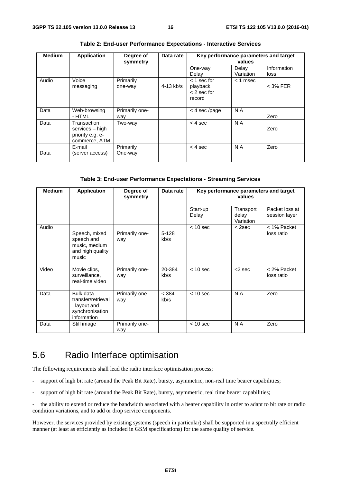| <b>Medium</b> | <b>Application</b>                                                  | Degree of<br>symmetry | Data rate   | Key performance parameters and target                | values             |                     |
|---------------|---------------------------------------------------------------------|-----------------------|-------------|------------------------------------------------------|--------------------|---------------------|
|               |                                                                     |                       |             | One-way<br>Delay                                     | Delay<br>Variation | Information<br>loss |
| Audio         | Voice<br>messaging                                                  | Primarily<br>one-way  | $4-13$ kb/s | $<$ 1 sec for<br>playback<br>$<$ 2 sec for<br>record | $<$ 1 msec         | $<$ 3% FER          |
| Data          | Web-browsing<br>- HTML                                              | Primarily one-<br>way |             | $<$ 4 sec/page                                       | N.A                | Zero                |
| Data          | Transaction<br>services – high<br>priority e.g. e-<br>commerce, ATM | Two-way               |             | $< 4$ sec                                            | N.A                | Zero                |
| Data          | E-mail<br>(server access)                                           | Primarily<br>One-way  |             | $<$ 4 sec                                            | N.A                | Zero                |

**Table 2: End-user Performance Expectations - Interactive Services** 

#### **Table 3: End-user Performance Expectations - Streaming Services**

| <b>Medium</b> | <b>Application</b>                                                                | Degree of<br>symmetry | Data rate       | Key performance parameters and target<br>values |                                 |                                 |
|---------------|-----------------------------------------------------------------------------------|-----------------------|-----------------|-------------------------------------------------|---------------------------------|---------------------------------|
|               |                                                                                   |                       |                 | Start-up<br>Delay                               | Transport<br>delay<br>Variation | Packet loss at<br>session layer |
| Audio         | Speech, mixed<br>speech and<br>music, medium<br>and high quality<br>music         | Primarily one-<br>way | $5-128$<br>kb/s | $< 10$ sec                                      | $<$ 2sec                        | < 1% Packet<br>loss ratio       |
| Video         | Movie clips,<br>surveillance,<br>real-time video                                  | Primarily one-<br>way | 20-384<br>kb/s  | $< 10$ sec                                      | $<$ 2 sec                       | < 2% Packet<br>loss ratio       |
| Data          | Bulk data<br>transfer/retrieval<br>, layout and<br>synchronisation<br>information | Primarily one-<br>way | < 384<br>kb/s   | $< 10$ sec                                      | N.A                             | Zero                            |
| Data          | Still image                                                                       | Primarily one-<br>way |                 | $< 10$ sec                                      | N.A                             | Zero                            |

### 5.6 Radio Interface optimisation

The following requirements shall lead the radio interface optimisation process;

- support of high bit rate (around the Peak Bit Rate), bursty, asymmetric, non-real time bearer capabilities;
- support of high bit rate (around the Peak Bit Rate), bursty, asymmetric, real time bearer capabilities;

- the ability to extend or reduce the bandwidth associated with a bearer capability in order to adapt to bit rate or radio condition variations, and to add or drop service components.

However, the services provided by existing systems (speech in particular) shall be supported in a spectrally efficient manner (at least as efficiently as included in GSM specifications) for the same quality of service.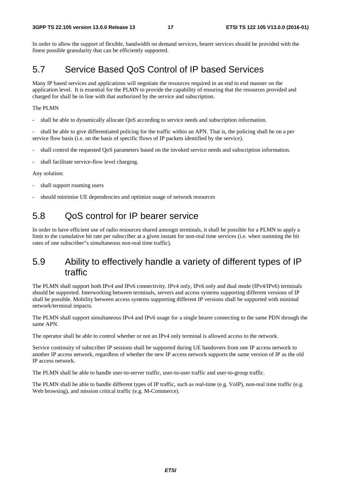In order to allow the support of flexible, bandwidth on demand services, bearer services should be provided with the finest possible granularity that can be efficiently supported.

### 5.7 Service Based QoS Control of IP based Services

Many IP based services and applications will negotiate the resources required in an end to end manner on the application level. It is essential for the PLMN to provide the capability of ensuring that the resources provided and charged for shall be in line with that authorized by the service and subscription.

#### The PLMN

shall be able to dynamically allocate QoS according to service needs and subscription information.

shall be able to give differentiated policing for the traffic within an APN. That is, the policing shall be on a per service flow basis (i.e. on the basis of specific flows of IP packets identified by the service).

- shall control the requested QoS parameters based on the invoked service needs and subscription information.
- shall facilitate service-flow level charging.

#### Any solution:

- shall support roaming users
- should minimise UE dependencies and optimize usage of network resources

### 5.8 QoS control for IP bearer service

In order to have efficient use of radio resources shared amongst terminals, it shall be possible for a PLMN to apply a limit to the cumulative bit rate per subscriber at a given instant for non-real time services (i.e. when summing the bit rates of one subscriber"s simultaneous non-real time traffic).

### 5.9 Ability to effectively handle a variety of different types of IP traffic

The PLMN shall support both IPv4 and IPv6 connectivity. IPv4 only, IPv6 only and dual mode (IPv4/IPv6) terminals should be supported. Interworking between terminals, servers and access systems supporting different versions of IP shall be possible. Mobility between access systems supporting different IP versions shall be supported with minimal network/terminal impacts.

The PLMN shall support simultaneous IPv4 and IPv6 usage for a single bearer connecting to the same PDN through the same APN.

The operator shall be able to control whether or not an IPv4 only terminal is allowed access to the network.

Service continuity of subscriber IP sessions shall be supported during UE handovers from one IP access network to another IP access network, regardless of whether the new IP access network supports the same version of IP as the old IP access network.

The PLMN shall be able to handle user-to-server traffic, user-to-user traffic and user-to-group traffic.

The PLMN shall be able to handle different types of IP traffic, such as real-time (e.g. VoIP), non-real time traffic (e.g. Web browsing), and mission critical traffic (e.g. M-Commerce).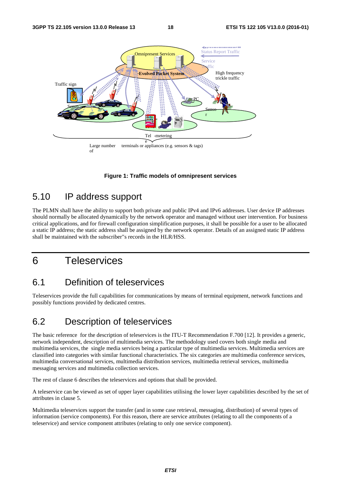

**Figure 1: Traffic models of omnipresent services** 

### 5.10 IP address support

The PLMN shall have the ability to support both private and public IPv4 and IPv6 addresses. User device IP addresses should normally be allocated dynamically by the network operator and managed without user intervention. For business critical applications, and for firewall configuration simplification purposes, it shall be possible for a user to be allocated a static IP address; the static address shall be assigned by the network operator. Details of an assigned static IP address shall be maintained with the subscriber"s records in the HLR/HSS.

### 6 Teleservices

### 6.1 Definition of teleservices

Teleservices provide the full capabilities for communications by means of terminal equipment, network functions and possibly functions provided by dedicated centres.

### 6.2 Description of teleservices

The basic reference for the description of teleservices is the ITU-T Recommendation F.700 [12]. It provides a generic, network independent, description of multimedia services. The methodology used covers both single media and multimedia services, the single media services being a particular type of multimedia services. Multimedia services are classified into categories with similar functional characteristics. The six categories are multimedia conference services, multimedia conversational services, multimedia distribution services, multimedia retrieval services, multimedia messaging services and multimedia collection services.

The rest of clause 6 describes the teleservices and options that shall be provided.

A teleservice can be viewed as set of upper layer capabilities utilising the lower layer capabilities described by the set of attributes in clause 5.

Multimedia teleservices support the transfer (and in some case retrieval, messaging, distribution) of several types of information (service components). For this reason, there are service attributes (relating to all the components of a teleservice) and service component attributes (relating to only one service component).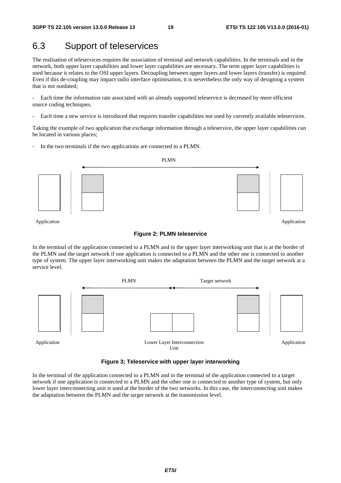Application

### 6.3 Support of teleservices

The realisation of teleservices requires the association of terminal and network capabilities. In the terminals and in the network, both upper layer capabilities and lower layer capabilities are necessary. The term upper layer capabilities is used because it relates to the OSI upper layers. Decoupling between upper layers and lower layers (transfer) is required. Even if this de-coupling may impact radio interface optimisation, it is nevertheless the only way of designing a system that is not outdated;

- Each time the information rate associated with an already supported teleservice is decreased by more efficient source coding techniques.

- Each time a new service is introduced that requires transfer capabilities not used by currently available teleservices.

Taking the example of two application that exchange information through a teleservice, the upper layer capabilities can be located in various places;

In the two terminals if the two applications are connected to a PLMN.



Application

#### **Figure 2: PLMN teleservice**

In the terminal of the application connected to a PLMN and in the upper layer interworking unit that is at the border of the PLMN and the target network if one application is connected to a PLMN and the other one is connected to another type of system. The upper layer interworking unit makes the adaptation between the PLMN and the target network at a service level.



**Figure 3; Teleservice with upper layer interworking** 

In the terminal of the application connected to a PLMN and in the terminal of the application connected to a target network if one application is connected to a PLMN and the other one is connected to another type of system, but only lower layer interconnecting unit is used at the border of the two networks. In this case, the interconnecting unit makes the adaptation between the PLMN and the target network at the transmission level.

#### *ETSI*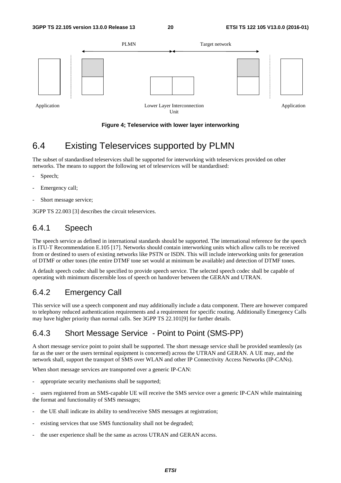

#### **Figure 4; Teleservice with lower layer interworking**

### 6.4 Existing Teleservices supported by PLMN

The subset of standardised teleservices shall be supported for interworking with teleservices provided on other networks. The means to support the following set of teleservices will be standardised:

- Speech;
- Emergency call;
- Short message service;

3GPP TS 22.003 [3] describes the circuit teleservices.

### 6.4.1 Speech

The speech service as defined in international standards should be supported. The international reference for the speech is ITU-T Recommendation E.105 [17]. Networks should contain interworking units which allow calls to be received from or destined to users of existing networks like PSTN or ISDN. This will include interworking units for generation of DTMF or other tones (the entire DTMF tone set would at minimum be available) and detection of DTMF tones.

A default speech codec shall be specified to provide speech service. The selected speech codec shall be capable of operating with minimum discernible loss of speech on handover between the GERAN and UTRAN.

### 6.4.2 Emergency Call

This service will use a speech component and may additionally include a data component. There are however compared to telephony reduced authentication requirements and a requirement for specific routing. Additionally Emergency Calls may have higher priority than normal calls. See 3GPP TS 22.101[9] for further details.

### 6.4.3 Short Message Service - Point to Point (SMS-PP)

A short message service point to point shall be supported. The short message service shall be provided seamlessly (as far as the user or the users terminal equipment is concerned) across the UTRAN and GERAN. A UE may, and the network shall, support the transport of SMS over WLAN and other IP Connectivity Access Networks (IP-CANs).

When short message services are transported over a generic IP-CAN:

appropriate security mechanisms shall be supported;

users registered from an SMS-capable UE will receive the SMS service over a generic IP-CAN while maintaining the format and functionality of SMS messages;

- the UE shall indicate its ability to send/receive SMS messages at registration;
- existing services that use SMS functionality shall not be degraded;
- the user experience shall be the same as across UTRAN and GERAN access.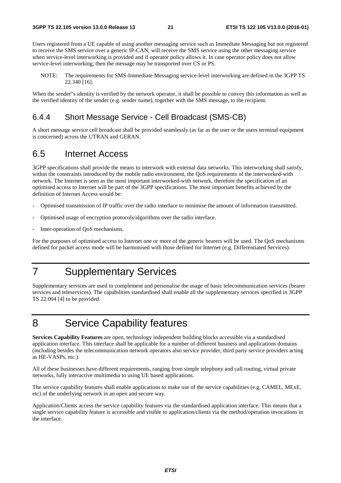Users registered from a UE capable of using another messaging service such as Immediate Messaging but not registered to receive the SMS service over a generic IP-CAN, will receive the SMS service using the other messaging service when service-level interworking is provided and if operator policy allows it. In case operator policy does not allow service-level interworking, then the message may be transported over CS or PS.

NOTE: The requirements for SMS-Immediate Messaging service-level interworking are defined in the 3GPP TS 22.340 [16].

When the sender"s identity is verified by the network operator, it shall be possible to convey this information as well as the verified identity of the sender (e.g. sender name), together with the SMS message, to the recipient.

#### 6.4.4 Short Message Service - Cell Broadcast (SMS-CB)

A short message service cell broadcast shall be provided seamlessly (as far as the user or the users terminal equipment is concerned) across the UTRAN and GERAN.

### 6.5 Internet Access

3GPP specifications shall provide the means to interwork with external data networks. This interworking shall satisfy, within the constraints introduced by the mobile radio environment, the QoS requirements of the interworked-with network. The Internet is seen as the most important interworked-with network, therefore the specification of an optimised access to Internet will be part of the 3GPP specifications. The most important benefits achieved by the definition of Internet Access would be:

- Optimised transmission of IP traffic over the radio interface to minimise the amount of information transmitted.
- Optimised usage of encryption protocols/algorithms over the radio interface.
- Inter-operation of QoS mechanisms.

For the purposes of optimised access to Internet one or more of the generic bearers will be used. The QoS mechanisms defined for packet access mode will be harmonised with those defined for Internet (e.g. Differentiated Services).

## 7 Supplementary Services

Supplementary services are used to complement and personalise the usage of basic telecommunication services (bearer services and teleservices). The capabilities standardised shall enable all the supplementary services specified in 3GPP TS 22.004 [4] to be provided.

## 8 Service Capability features

**Services Capability Features** are open, technology independent building blocks accessible via a standardised application interface. This interface shall be applicable for a number of different business and applications domains (including besides the telecommunication network operators also service provider, third party service providers acting as HE-VASPs, etc.).

All of these businesses have different requirements, ranging from simple telephony and call routing, virtual private networks, fully interactive multimedia to using UE based applications.

The service capability features shall enable applications to make use of the service capabilities (e.g. CAMEL, MExE, etc) of the underlying network in an open and secure way.

Application/Clients access the service capability features via the standardised application interface. This means that a single service capability feature is accessible and visible to application/clients via the method/operation invocations in the interface.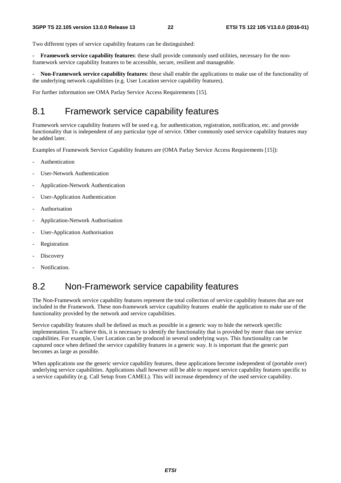Two different types of service capability features can be distinguished:

**- Framework service capability features**: these shall provide commonly used utilities, necessary for the nonframework service capability features to be accessible, secure, resilient and manageable.

**- Non-Framework service capability features**: these shall enable the applications to make use of the functionality of the underlying network capabilities (e.g. User Location service capability features).

For further information see OMA Parlay Service Access Requirements [15].

### 8.1 Framework service capability features

Framework service capability features will be used e.g. for authentication, registration, notification, etc. and provide functionality that is independent of any particular type of service. Other commonly used service capability features may be added later.

Examples of Framework Service Capability features are (OMA Parlay Service Access Requirements [15]):

- Authentication
- User-Network Authentication
- Application-Network Authentication
- User-Application Authentication
- **Authorisation**
- Application-Network Authorisation
- User-Application Authorisation
- Registration
- Discovery
- Notification.

### 8.2 Non-Framework service capability features

The Non-Framework service capability features represent the total collection of service capability features that are not included in the Framework. These non-framework service capability features enable the application to make use of the functionality provided by the network and service capabilities.

Service capability features shall be defined as much as possible in a generic way to hide the network specific implementation. To achieve this, it is necessary to identify the functionality that is provided by more than one service capabilities. For example, User Location can be produced in several underlying ways. This functionality can be captured once when defined the service capability features in a generic way. It is important that the generic part becomes as large as possible.

When applications use the generic service capability features, these applications become independent of (portable over) underlying service capabilities. Applications shall however still be able to request service capability features specific to a service capability (e.g. Call Setup from CAMEL). This will increase dependency of the used service capability.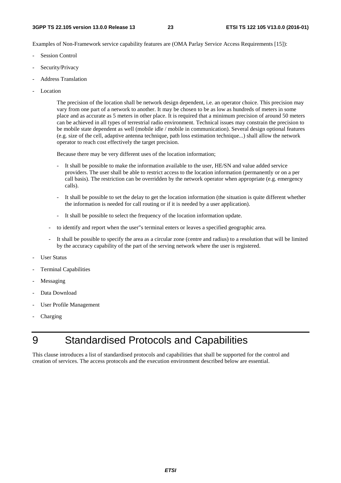Examples of Non-Framework service capability features are (OMA Parlay Service Access Requirements [15]):

- Session Control
- Security/Privacy
- Address Translation
- Location

 The precision of the location shall be network design dependent, i.e. an operator choice. This precision may vary from one part of a network to another. It may be chosen to be as low as hundreds of meters in some place and as accurate as 5 meters in other place. It is required that a minimum precision of around 50 meters can be achieved in all types of terrestrial radio environment. Technical issues may constrain the precision to be mobile state dependent as well (mobile idle / mobile in communication). Several design optional features (e.g. size of the cell, adaptive antenna technique, path loss estimation technique...) shall allow the network operator to reach cost effectively the target precision.

Because there may be very different uses of the location information;

- It shall be possible to make the information available to the user, HE/SN and value added service providers. The user shall be able to restrict access to the location information (permanently or on a per call basis). The restriction can be overridden by the network operator when appropriate (e.g. emergency calls).
- It shall be possible to set the delay to get the location information (the situation is quite different whether the information is needed for call routing or if it is needed by a user application).
- It shall be possible to select the frequency of the location information update.
- to identify and report when the user"s terminal enters or leaves a specified geographic area.
- It shall be possible to specify the area as a circular zone (centre and radius) to a resolution that will be limited by the accuracy capability of the part of the serving network where the user is registered.
- User Status
- Terminal Capabilities
- **Messaging**
- Data Download
- User Profile Management
- Charging

## 9 Standardised Protocols and Capabilities

This clause introduces a list of standardised protocols and capabilities that shall be supported for the control and creation of services. The access protocols and the execution environment described below are essential.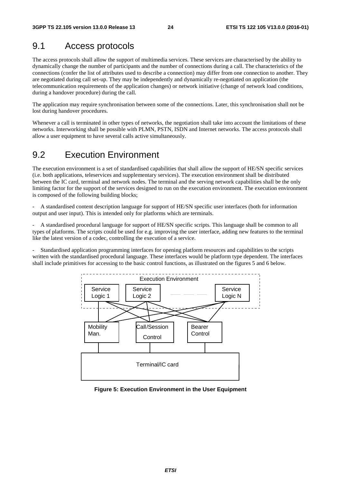### 9.1 Access protocols

The access protocols shall allow the support of multimedia services. These services are characterised by the ability to dynamically change the number of participants and the number of connections during a call. The characteristics of the connections (confer the list of attributes used to describe a connection) may differ from one connection to another. They are negotiated during call set-up. They may be independently and dynamically re-negotiated on application (the telecommunication requirements of the application changes) or network initiative (change of network load conditions, during a handover procedure) during the call.

The application may require synchronisation between some of the connections. Later, this synchronisation shall not be lost during handover procedures.

Whenever a call is terminated in other types of networks, the negotiation shall take into account the limitations of these networks. Interworking shall be possible with PLMN, PSTN, ISDN and Internet networks. The access protocols shall allow a user equipment to have several calls active simultaneously.

### 9.2 Execution Environment

The execution environment is a set of standardised capabilities that shall allow the support of HE/SN specific services (i.e. both applications, teleservices and supplementary services). The execution environment shall be distributed between the IC card, terminal and network nodes. The terminal and the serving network capabilities shall be the only limiting factor for the support of the services designed to run on the execution environment. The execution environment is composed of the following building blocks;

A standardised content description language for support of HE/SN specific user interfaces (both for information output and user input). This is intended only for platforms which are terminals.

- A standardised procedural language for support of HE/SN specific scripts. This language shall be common to all types of platforms. The scripts could be used for e.g. improving the user interface, adding new features to the terminal like the latest version of a codec, controlling the execution of a service.

- Standardised application programming interfaces for opening platform resources and capabilities to the scripts written with the standardised procedural language. These interfaces would be platform type dependent. The interfaces shall include primitives for accessing to the basic control functions, as illustrated on the figures 5 and 6 below.



**Figure 5: Execution Environment in the User Equipment**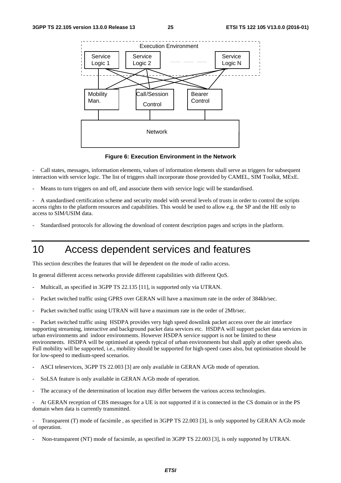

**Figure 6: Execution Environment in the Network** 

- Call states, messages, information elements, values of information elements shall serve as triggers for subsequent interaction with service logic. The list of triggers shall incorporate those provided by CAMEL, SIM Toolkit, MExE.

Means to turn triggers on and off, and associate them with service logic will be standardised.

- A standardised certification scheme and security model with several levels of trusts in order to control the scripts access rights to the platform resources and capabilities. This would be used to allow e.g. the SP and the HE only to access to SIM/USIM data.

- Standardised protocols for allowing the download of content description pages and scripts in the platform.

## 10 Access dependent services and features

This section describes the features that will be dependent on the mode of radio access.

In general different access networks provide different capabilities with different QoS.

- Multicall, as specified in 3GPP TS 22.135 [11], is supported only via UTRAN.
- Packet switched traffic using GPRS over GERAN will have a maximum rate in the order of 384kb/sec.
- Packet switched traffic using UTRAN will have a maximum rate in the order of 2Mb/sec.

Packet switched traffic using HSDPA provides very high speed downlink packet access over the air interface supporting streaming, interactive and background packet data services etc. HSDPA will support packet data services in urban environments and indoor environments. However HSDPA service support is not be limited to these environments. HSDPA will be optimised at speeds typical of urban environments but shall apply at other speeds also. Full mobility will be supported, i.e., mobility should be supported for high-speed cases also, but optimisation should be for low-speed to medium-speed scenarios.

- ASCI teleservices, 3GPP TS 22.003 [3] are only available in GERAN A/Gb mode of operation.
- SoLSA feature is only available in GERAN A/Gb mode of operation.
- The accuracy of the determination of location may differ between the various access technologies.

- At GERAN reception of CBS messages for a UE is not supported if it is connected in the CS domain or in the PS domain when data is currently transmitted.

Transparent (T) mode of facsimile , as specified in 3GPP TS 22.003 [3], is only supported by GERAN A/Gb mode of operation.

Non-transparent (NT) mode of facsimile, as specified in 3GPP TS 22.003 [3], is only supported by UTRAN.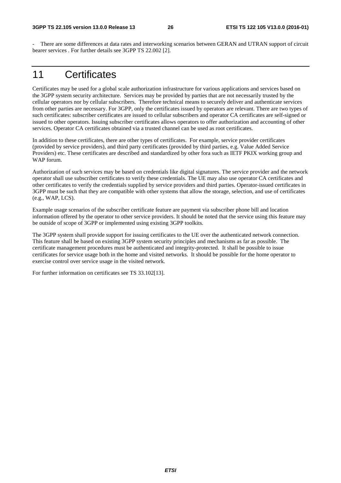There are some differences at data rates and interworking scenarios between GERAN and UTRAN support of circuit bearer services . For further details see 3GPP TS 22.002 [2].

## 11 Certificates

Certificates may be used for a global scale authorization infrastructure for various applications and services based on the 3GPP system security architecture. Services may be provided by parties that are not necessarily trusted by the cellular operators nor by cellular subscribers. Therefore technical means to securely deliver and authenticate services from other parties are necessary. For 3GPP, only the certificates issued by operators are relevant. There are two types of such certificates: subscriber certificates are issued to cellular subscribers and operator CA certificates are self-signed or issued to other operators. Issuing subscriber certificates allows operators to offer authorization and accounting of other services. Operator CA certificates obtained via a trusted channel can be used as root certificates.

In addition to these certificates, there are other types of certificates. For example, service provider certificates (provided by service providers), and third party certificates (provided by third parties, e.g. Value Added Service Providers) etc. These certificates are described and standardized by other fora such as IETF PKIX working group and WAP forum.

Authorization of such services may be based on credentials like digital signatures. The service provider and the network operator shall use subscriber certificates to verify these credentials. The UE may also use operator CA certificates and other certificates to verify the credentials supplied by service providers and third parties. Operator-issued certificates in 3GPP must be such that they are compatible with other systems that allow the storage, selection, and use of certificates (e.g., WAP, LCS).

Example usage scenarios of the subscriber certificate feature are payment via subscriber phone bill and location information offered by the operator to other service providers. It should be noted that the service using this feature may be outside of scope of 3GPP or implemented using existing 3GPP toolkits.

The 3GPP system shall provide support for issuing certificates to the UE over the authenticated network connection. This feature shall be based on existing 3GPP system security principles and mechanisms as far as possible. The certificate management procedures must be authenticated and integrity-protected. It shall be possible to issue certificates for service usage both in the home and visited networks. It should be possible for the home operator to exercise control over service usage in the visited network.

For further information on certificates see TS 33.102[13].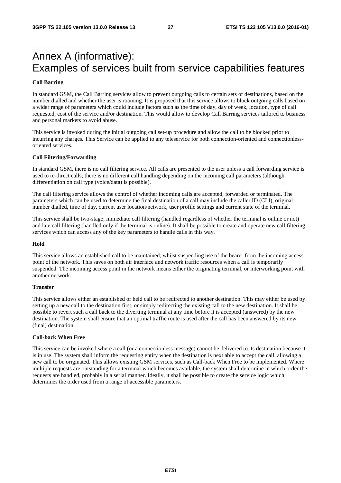## Annex A (informative): Examples of services built from service capabilities features

#### **Call Barring**

In standard GSM, the Call Barring services allow to prevent outgoing calls to certain sets of destinations, based on the number dialled and whether the user is roaming. It is proposed that this service allows to block outgoing calls based on a wider range of parameters which could include factors such as the time of day, day of week, location, type of call requested, cost of the service and/or destination. This would allow to develop Call Barring services tailored to business and personal markets to avoid abuse.

This service is invoked during the initial outgoing call set-up procedure and allow the call to be blocked prior to incurring any charges. This Service can be applied to any teleservice for both connection-oriented and connectionlessoriented services.

#### **Call Filtering/Forwarding**

In standard GSM, there is no call filtering service. All calls are presented to the user unless a call forwarding service is used to re-direct calls; there is no different call handling depending on the incoming call parameters (although differentiation on call type (voice/data) is possible).

The call filtering service allows the control of whether incoming calls are accepted, forwarded or terminated. The parameters which can be used to determine the final destination of a call may include the caller ID (CLI), original number dialled, time of day, current user location/network, user profile settings and current state of the terminal.

This service shall be two-stage; immediate call filtering (handled regardless of whether the terminal is online or not) and late call filtering (handled only if the terminal is online). It shall be possible to create and operate new call filtering services which can access any of the key parameters to handle calls in this way.

#### **Hold**

This service allows an established call to be maintained, whilst suspending use of the bearer from the incoming access point of the network. This saves on both air interface and network traffic resources when a call is temporarily suspended. The incoming access point in the network means either the originating terminal, or interworking point with another network.

#### **Transfer**

This service allows either an established or held call to be redirected to another destination. This may either be used by setting up a new call to the destination first, or simply redirecting the existing call to the new destination. It shall be possible to revert such a call back to the diverting terminal at any time before it is accepted (answered) by the new destination. The system shall ensure that an optimal traffic route is used after the call has been answered by its new (final) destination.

#### **Call-back When Free**

This service can be invoked where a call (or a connectionless message) cannot be delivered to its destination because it is in use. The system shall inform the requesting entity when the destination is next able to accept the call, allowing a new call to be originated. This allows existing GSM services, such as Call-back When Free to be implemented. Where multiple requests are outstanding for a terminal which becomes available, the system shall determine in which order the requests are handled, probably in a serial manner. Ideally, it shall be possible to create the service logic which determines the order used from a range of accessible parameters.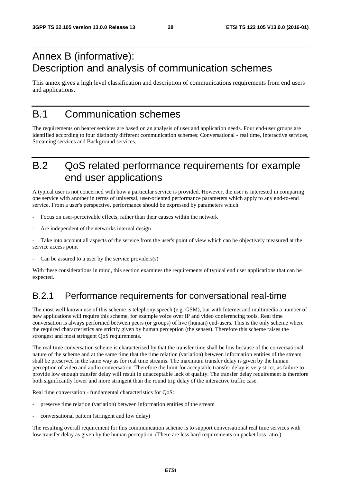## Annex B (informative): Description and analysis of communication schemes

This annex gives a high level classification and description of communications requirements from end users and applications.

## B.1 Communication schemes

The requirements on bearer services are based on an analysis of user and application needs. Four end-user groups are identified according to four distinctly different communication schemes; Conversational - real time, Interactive services, Streaming services and Background services.

## B.2 QoS related performance requirements for example end user applications

A typical user is not concerned with how a particular service is provided. However, the user is interested in comparing one service with another in terms of universal, user-oriented performance parameters which apply to any end-to-end service. From a user's perspective, performance should be expressed by parameters which:

- Focus on user-perceivable effects, rather than their causes within the network
- Are independent of the networks internal design

Take into account all aspects of the service from the user's point of view which can be objectively measured at the service access point

Can be assured to a user by the service providers $(s)$ 

With these considerations in mind, this section examines the requirements of typical end user applications that can be expected.

### B.2.1 Performance requirements for conversational real-time

The most well known use of this scheme is telephony speech (e.g. GSM), but with Internet and multimedia a number of new applications will require this scheme, for example voice over IP and video conferencing tools. Real time conversation is always performed between peers (or groups) of live (human) end-users. This is the only scheme where the required characteristics are strictly given by human perception (the senses). Therefore this scheme raises the strongest and most stringent QoS requirements.

The real time conversation scheme is characterised by that the transfer time shall be low because of the conversational nature of the scheme and at the same time that the time relation (variation) between information entities of the stream shall be preserved in the same way as for real time streams. The maximum transfer delay is given by the human perception of video and audio conversation. Therefore the limit for acceptable transfer delay is very strict, as failure to provide low enough transfer delay will result in unacceptable lack of quality. The transfer delay requirement is therefore both significantly lower and more stringent than the round trip delay of the interactive traffic case.

Real time conversation - fundamental characteristics for QoS:

- preserve time relation (variation) between information entities of the stream
- conversational pattern (stringent and low delay)

The resulting overall requirement for this communication scheme is to support conversational real time services with low transfer delay as given by the human perception. (There are less hard requirements on packet loss ratio.)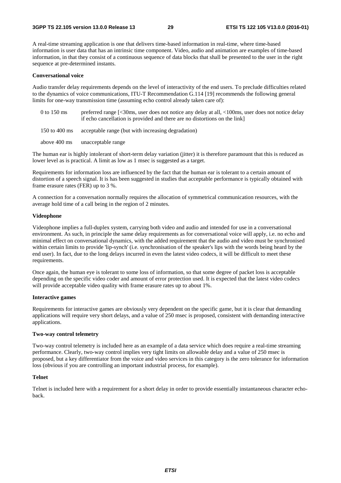A real-time streaming application is one that delivers time-based information in real-time, where time-based information is user data that has an intrinsic time component. Video, audio and animation are examples of time-based information, in that they consist of a continuous sequence of data blocks that shall be presented to the user in the right sequence at pre-determined instants.

#### **Conversational voice**

Audio transfer delay requirements depends on the level of interactivity of the end users. To preclude difficulties related to the dynamics of voice communications, ITU-T Recommendation G.114 [19] recommends the following general limits for one-way transmission time (assuming echo control already taken care of):

- 0 to 150 ms preferred range [<30ms, user does not notice any delay at all, <100ms, user does not notice delay if echo cancellation is provided and there are no distortions on the link]
- 150 to 400 ms acceptable range (but with increasing degradation)
- above 400 ms unacceptable range

The human ear is highly intolerant of short-term delay variation (jitter) it is therefore paramount that this is reduced as lower level as is practical. A limit as low as 1 msec is suggested as a target.

Requirements for information loss are influenced by the fact that the human ear is tolerant to a certain amount of distortion of a speech signal. It is has been suggested in studies that acceptable performance is typically obtained with frame erasure rates (FER) up to 3 %.

A connection for a conversation normally requires the allocation of symmetrical communication resources, with the average hold time of a call being in the region of 2 minutes.

#### **Videophone**

Videophone implies a full-duplex system, carrying both video and audio and intended for use in a conversational environment. As such, in principle the same delay requirements as for conversational voice will apply, i.e. no echo and minimal effect on conversational dynamics, with the added requirement that the audio and video must be synchronised within certain limits to provide 'lip-synch' (i.e. synchronisation of the speaker's lips with the words being heard by the end user). In fact, due to the long delays incurred in even the latest video codecs, it will be difficult to meet these requirements.

Once again, the human eye is tolerant to some loss of information, so that some degree of packet loss is acceptable depending on the specific video coder and amount of error protection used. It is expected that the latest video codecs will provide acceptable video quality with frame erasure rates up to about 1%.

#### **Interactive games**

Requirements for interactive games are obviously very dependent on the specific game, but it is clear that demanding applications will require very short delays, and a value of 250 msec is proposed, consistent with demanding interactive applications.

#### **Two-way control telemetry**

Two-way control telemetry is included here as an example of a data service which does require a real-time streaming performance. Clearly, two-way control implies very tight limits on allowable delay and a value of 250 msec is proposed, but a key differentiator from the voice and video services in this category is the zero tolerance for information loss (obvious if you are controlling an important industrial process, for example).

#### **Telnet**

Telnet is included here with a requirement for a short delay in order to provide essentially instantaneous character echoback.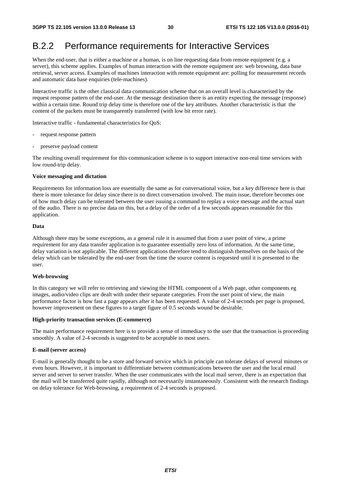### B.2.2 Performance requirements for Interactive Services

When the end-user, that is either a machine or a human, is on line requesting data from remote equipment (e.g. a server), this scheme applies. Examples of human interaction with the remote equipment are: web browsing, data base retrieval, server access. Examples of machines interaction with remote equipment are: polling for measurement records and automatic data base enquiries (tele-machines).

Interactive traffic is the other classical data communication scheme that on an overall level is characterised by the request response pattern of the end-user. At the message destination there is an entity expecting the message (response) within a certain time. Round trip delay time is therefore one of the key attributes. Another characteristic is that the content of the packets must be transparently transferred (with low bit error rate).

Interactive traffic - fundamental characteristics for QoS:

- request response pattern
- preserve payload content

The resulting overall requirement for this communication scheme is to support interactive non-real time services with low round-trip delay.

#### **Voice messaging and dictation**

Requirements for information loss are essentially the same as for conversational voice, but a key difference here is that there is more tolerance for delay since there is no direct conversation involved. The main issue, therefore becomes one of how much delay can be tolerated between the user issuing a command to replay a voice message and the actual start of the audio. There is no precise data on this, but a delay of the order of a few seconds appears reasonable for this application.

#### **Data**

Although there may be some exceptions, as a general rule it is assumed that from a user point of view, a prime requirement for any data transfer application is to guarantee essentially zero loss of information. At the same time, delay variation is not applicable. The different applications therefore tend to distinguish themselves on the basis of the delay which can be tolerated by the end-user from the time the source content is requested until it is presented to the user.

#### **Web-browsing**

In this category we will refer to retrieving and viewing the HTML component of a Web page, other components eg images, audio/video clips are dealt with under their separate categories. From the user point of view, the main performance factor is how fast a page appears after it has been requested. A value of 2-4 seconds per page is proposed, however improvement on these figures to a target figure of 0.5 seconds wound be desirable.

#### **High-priority transaction services (E-commerce)**

The main performance requirement here is to provide a sense of immediacy to the user that the transaction is proceeding smoothly. A value of 2-4 seconds is suggested to be acceptable to most users.

#### **E-mail (server access)**

E-mail is generally thought to be a store and forward service which in principle can tolerate delays of several minutes or even hours. However, it is important to differentiate between communications between the user and the local email server and server to server transfer. When the user communicates with the local mail server, there is an expectation that the mail will be transferred quite rapidly, although not necessarily instantaneously. Consistent with the research findings on delay tolerance for Web-browsing, a requirement of 2-4 seconds is proposed.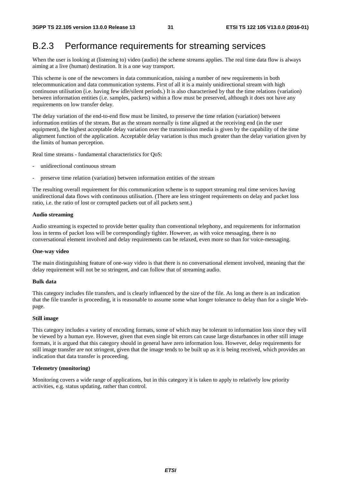### B.2.3 Performance requirements for streaming services

When the user is looking at (listening to) video (audio) the scheme streams applies. The real time data flow is always aiming at a live (human) destination. It is a one way transport.

This scheme is one of the newcomers in data communication, raising a number of new requirements in both telecommunication and data communication systems. First of all it is a mainly unidirectional stream with high continuous utilisation (i.e. having few idle/silent periods.) It is also characterised by that the time relations (variation) between information entities (i.e. samples, packets) within a flow must be preserved, although it does not have any requirements on low transfer delay.

The delay variation of the end-to-end flow must be limited, to preserve the time relation (variation) between information entities of the stream. But as the stream normally is time aligned at the receiving end (in the user equipment), the highest acceptable delay variation over the transmission media is given by the capability of the time alignment function of the application. Acceptable delay variation is thus much greater than the delay variation given by the limits of human perception.

Real time streams - fundamental characteristics for QoS:

- unidirectional continuous stream
- preserve time relation (variation) between information entities of the stream

The resulting overall requirement for this communication scheme is to support streaming real time services having unidirectional data flows with continuous utilisation. (There are less stringent requirements on delay and packet loss ratio, i.e. the ratio of lost or corrupted packets out of all packets sent.)

#### **Audio streaming**

Audio streaming is expected to provide better quality than conventional telephony, and requirements for information loss in terms of packet loss will be correspondingly tighter. However, as with voice messaging, there is no conversational element involved and delay requirements can be relaxed, even more so than for voice-messaging.

#### **One-way video**

The main distinguishing feature of one-way video is that there is no conversational element involved, meaning that the delay requirement will not be so stringent, and can follow that of streaming audio.

#### **Bulk data**

This category includes file transfers, and is clearly influenced by the size of the file. As long as there is an indication that the file transfer is proceeding, it is reasonable to assume some what longer tolerance to delay than for a single Webpage.

#### **Still image**

This category includes a variety of encoding formats, some of which may be tolerant to information loss since they will be viewed by a human eye. However, given that even single bit errors can cause large disturbances in other still image formats, it is argued that this category should in general have zero information loss. However, delay requirements for still image transfer are not stringent, given that the image tends to be built up as it is being received, which provides an indication that data transfer is proceeding.

#### **Telemetry (monitoring)**

Monitoring covers a wide range of applications, but in this category it is taken to apply to relatively low priority activities, e.g. status updating, rather than control.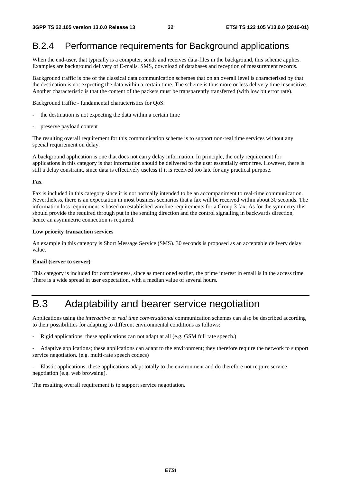### B.2.4 Performance requirements for Background applications

When the end-user, that typically is a computer, sends and receives data-files in the background, this scheme applies. Examples are background delivery of E-mails, SMS, download of databases and reception of measurement records.

Background traffic is one of the classical data communication schemes that on an overall level is characterised by that the destination is not expecting the data within a certain time. The scheme is thus more or less delivery time insensitive. Another characteristic is that the content of the packets must be transparently transferred (with low bit error rate).

Background traffic - fundamental characteristics for QoS:

- the destination is not expecting the data within a certain time
- preserve payload content

The resulting overall requirement for this communication scheme is to support non-real time services without any special requirement on delay.

A background application is one that does not carry delay information. In principle, the only requirement for applications in this category is that information should be delivered to the user essentially error free. However, there is still a delay constraint, since data is effectively useless if it is received too late for any practical purpose.

#### **Fax**

Fax is included in this category since it is not normally intended to be an accompaniment to real-time communication. Nevertheless, there is an expectation in most business scenarios that a fax will be received within about 30 seconds. The information loss requirement is based on established wireline requirements for a Group 3 fax. As for the symmetry this should provide the required through put in the sending direction and the control signalling in backwards direction, hence an asymmetric connection is required.

#### **Low priority transaction services**

An example in this category is Short Message Service (SMS). 30 seconds is proposed as an acceptable delivery delay value.

#### **Email (server to server)**

This category is included for completeness, since as mentioned earlier, the prime interest in email is in the access time. There is a wide spread in user expectation, with a median value of several hours.

## B.3 Adaptability and bearer service negotiation

Applications using the *interactive* or *real time conversational* communication schemes can also be described according to their possibilities for adapting to different environmental conditions as follows:

Rigid applications; these applications can not adapt at all (e.g. GSM full rate speech.)

- Adaptive applications; these applications can adapt to the environment; they therefore require the network to support service negotiation. (e.g. multi-rate speech codecs)

- Elastic applications; these applications adapt totally to the environment and do therefore not require service negotiation (e.g. web browsing).

The resulting overall requirement is to support service negotiation.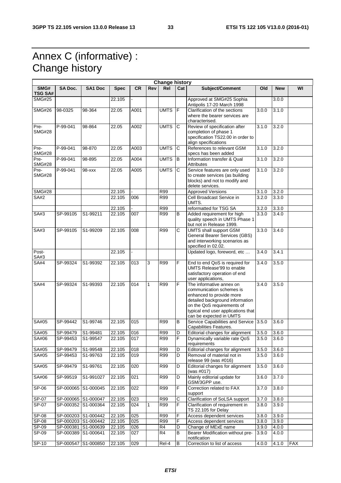## Annex C (informative) : Change history

 $\mathsf{r}$ 

| <b>Change history</b>  |                     |                     |             |                  |     |                |                       |                                                                                                                                                                                                                    |                    |            |            |
|------------------------|---------------------|---------------------|-------------|------------------|-----|----------------|-----------------------|--------------------------------------------------------------------------------------------------------------------------------------------------------------------------------------------------------------------|--------------------|------------|------------|
| SMG#<br><b>TSG SA#</b> | SA Doc.             | <b>SA1 Doc</b>      | <b>Spec</b> | <b>CR</b>        | Rev | Rel            | Cat                   | Subject/Comment                                                                                                                                                                                                    | Old                | <b>New</b> | WI         |
| <b>SMG#25</b>          |                     |                     | 22.105      |                  |     |                |                       | Approved at SMG#25 Sophia<br>Antipolis 17-20 March 1998                                                                                                                                                            |                    | 3.0.0      |            |
| <b>SMG#26</b>          | 98-0325             | 98-364              | 22.05       | A001             |     | <b>UMTS</b>    | F                     | Clarification of the sections<br>where the bearer services are<br>characterised.                                                                                                                                   | 3.0.0              | 3.1.0      |            |
| Pre-<br><b>SMG#28</b>  | P-99-041            | 98-864              | 22.05       | A002             |     | <b>UMTS</b>    | C                     | Review of specification after<br>completion of phase 1<br>specification TS22.00 in order to<br>align specifications                                                                                                | 3.1.0              | 3.2.0      |            |
| Pre-<br><b>SMG#28</b>  | P-99-041            | 98-870              | 22.05       | A003             |     | <b>UMTS</b>    | С                     | References to relevant GSM<br>specs has been added                                                                                                                                                                 | 3.1.0              | 3.2.0      |            |
| Pre-<br><b>SMG#28</b>  | $P-99-041$          | 98-895              | 22.05       | A004             |     | <b>UMTS</b>    | B                     | Information transfer & Qual<br>Attributes                                                                                                                                                                          | 3.1.0              | 3.2.0      |            |
| Pre-<br><b>SMG#28</b>  | P-99-041            | $98 -$ xxx          | 22.05       | A005             |     | <b>UMTS</b>    | $\mathbf C$           | Service features are only used<br>to create services (as building<br>blocks) and not to modify and<br>delete services.                                                                                             | 3.1.0              | 3.2.0      |            |
| <b>SMG#28</b>          |                     |                     | 22.105      |                  |     | R99            |                       | <b>Approved Versions</b>                                                                                                                                                                                           | $\overline{3.1.0}$ | 3.2.0      |            |
| <b>SA#2</b>            |                     |                     | 22.105      | 006              |     | R99            |                       | Cell Broadcast Service in<br>UMTS.                                                                                                                                                                                 | 3.2.0              | 3.3.0      |            |
|                        |                     |                     | 22.105      |                  |     | R99            |                       | reformatted for TSG SA                                                                                                                                                                                             | 3.2.0              | 3.3.0      |            |
| SA#3                   | SP-99105            | S1-99211            | 22.105      | 007              |     | R99            | В                     | Added requirement for high<br>quality speech in UMTS Phase 1<br>but not in Release 1999.                                                                                                                           | 3.3.0              | 3.4.0      |            |
| SA#3                   | SP-99105            | S1-99209            | 22.105      | 008              |     | R99            | C                     | <b>UMTS</b> shall support GSM<br>General Bearer Services (GBS)<br>and interworking scenarios as<br>specified in 02.02.                                                                                             | 3.3.0              | 3.4.0      |            |
| Post-<br>SA#3          |                     |                     | 22.105      |                  |     |                |                       | Updated logo, foreword, etc                                                                                                                                                                                        | 3.4.0              | 3.4.1      |            |
| <b>SA#4</b>            | SP-99324            | S1-99392            | 22.105      | 013              | 3   | R99            | F                     | End to end QoS is required for<br>UMTS Release'99 to enable<br>satisfactory operation of end<br>user applications,                                                                                                 | 3.4.0              | 3.5.0      |            |
| <b>SA#4</b>            | SP-99324            | S1-99393            | 22.105      | 014              | 1   | R99            | F                     | The informative annex on<br>communication schemes is<br>enhanced to provide more<br>detailed background information<br>on the QoS requirements of<br>typical end user applications that<br>can be expected in UMTS | 3.4.0              | 3.5.0      |            |
| SA#05                  | SP-99442            | S1-99746            | 22.105      | 015              |     | R99            | В                     | Service Capabilities and Service 3.5.0<br>Capabilities Features.                                                                                                                                                   |                    | 3.6.0      |            |
| SA#05                  | SP-99479            | S1-99481            | 22.105      | 016              |     | R99            | D                     | Editorial changes for alignment                                                                                                                                                                                    | 3.5.0              | 3.6.0      |            |
| SA#06                  | SP-99453            | S1-99547            | 22.105      | 017              |     | <b>R99</b>     | F                     | Dynamically variable rate QoS<br>requirements                                                                                                                                                                      | 3.5.0              | 3.6.0      |            |
| SA#05                  | SP-99479            | S1-99548            | 22.105      | $\overline{018}$ |     | R99            | D                     | Editorial changes for alignment                                                                                                                                                                                    | 3.5.0              | 3.6.0      |            |
| SA#05                  | SP-99453            | S1-99763            | 22.105      | 019              |     | R99            | D                     | Removal of material not in<br>release 99 (was #016)                                                                                                                                                                | 3.5.0              | 3.6.0      |            |
| SA#05                  | SP-99479            | S1-99761            | 22.105      | 020              |     | R99            | D                     | Editorial changes for alignment<br>(was #017)                                                                                                                                                                      | 3.5.0              | 3.6.0      |            |
| SA#06                  | SP-99519            | S1-991027           | 22.105      | 021              |     | R99            | D                     | Mainly editorial update for<br>GSM/3GPP use.                                                                                                                                                                       | 3.6.0              | 3.7.0      |            |
| SP-06                  |                     | SP-000065 S1-000045 | 22.105      | 022              |     | R99            | F                     | Correction related to FAX<br>support                                                                                                                                                                               | 3.7.0              | 3.8.0      |            |
| SP-07                  | SP-000065 S1-000047 |                     | 22.105      | 023              |     | <b>R99</b>     | $\overline{\text{c}}$ | Clarification of SoLSA support                                                                                                                                                                                     | 3.7.0              | 3.8.0      |            |
| SP-07                  |                     | SP-000352 S1-000364 | 22.105      | 024              | 1   | R99            | $\overline{F}$        | Clarification of requirement in<br>TS 22.105 for Delay                                                                                                                                                             | 3.8.0              | 3.9.0      |            |
| SP-08                  | SP-000203 S1-000442 |                     | 22.105      | 025              |     | R99            | F                     | Access dependent services                                                                                                                                                                                          | 3.8.0              | 3.9.0      |            |
| $SP-08$                | SP-000203 S1-000442 |                     | 22.105      | 025              |     | R99            | $\overline{F}$        | Access dependent services                                                                                                                                                                                          | 3.8.0              | 3.9.0      |            |
| SP-09                  |                     | SP-000381 S1-000639 | 22.105      | 026              |     | R4             | D                     | Change of MExE name                                                                                                                                                                                                | 3.9.0              | 4.0.0      |            |
| SP-09                  | SP-000389 S1-000641 |                     | 22.105      | 027              |     | R <sub>4</sub> | В                     | Bearer Modification without pre-<br>notification                                                                                                                                                                   | 3.9.0              | 4.0.0      |            |
| $SP-10$                | SP-000547 S1-000850 |                     | 22.105      | 029              |     | Rel-4          | B                     | Correction to list of access                                                                                                                                                                                       | 4.0.0              | 4.1.0      | <b>FAX</b> |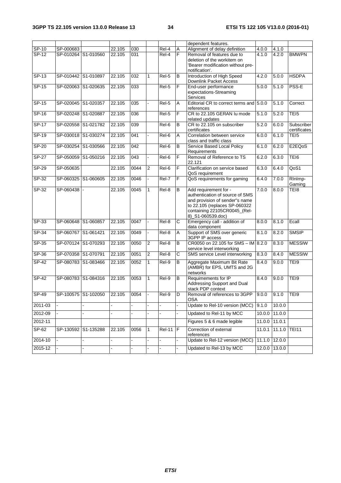|              |           |                     |        |      |                |               |                       | dependent features.                                                                                                                                                              |        |                     |                            |
|--------------|-----------|---------------------|--------|------|----------------|---------------|-----------------------|----------------------------------------------------------------------------------------------------------------------------------------------------------------------------------|--------|---------------------|----------------------------|
| $SP-10$      | SP-000683 |                     | 22.105 | 030  |                | Rel-4         | Α                     | Alignment of delay definition                                                                                                                                                    | 4.0.0  | 4.1.0               |                            |
| SP-12        |           | SP-010264 S1-010560 | 22.105 | 031  |                | Rel-4         | F                     | Removal of features due to<br>deletion of the workitem on<br>Bearer modification without pre-<br>notification'.                                                                  | 4.1.0  | 4.2.0               | <b>BMWPN</b>               |
| $SP-13$      |           | SP-010442 S1-010897 | 22.105 | 032  | 1              | $ReI-5$       | B                     | Introduction of High Speed<br>Downlink Packet Access                                                                                                                             | 4.2.0  | 5.0.0               | <b>HSDPA</b>               |
| SP-15        |           | SP-020063 S1-020635 | 22.105 | 033  |                | Rel-5         | F                     | End-user performance<br>expectations-Streaming<br>Services                                                                                                                       | 5.0.0  | 5.1.0               | PSS-E                      |
| SP-15        |           | SP-020045 S1-020357 | 22.105 | 035  |                | Rel-5         | Α                     | Editorial CR to correct terms and 5.0.0<br>references                                                                                                                            |        | 5.1.0               | Correct                    |
| $SP-16$      |           | SP-020248 S1-020887 | 22.105 | 036  |                | Rel-5         | F                     | CR to 22.105 GERAN Iu mode<br>related updates                                                                                                                                    | 5.1.0  | 5.2.0               | TEI5                       |
| $SP-17$      |           | SP-020558 S1-021782 | 22.105 | 039  |                | Rel-6         | В                     | CR to 22.105 on subscriber<br>certificates                                                                                                                                       | 5.2.0  | 6.0.0               | Subscriber<br>certificates |
| $SP-19$      |           | SP-030018 S1-030274 | 22.105 | 041  |                | Rel-6         | A                     | Correlation between service<br>class and traffic class                                                                                                                           | 6.0.0  | 6.1.0               | TE <sub>I5</sub>           |
| $SP-20$      |           | SP-030254 S1-030566 | 22.105 | 042  |                | Rel-6         | В                     | Service Based Local Policy<br>Requirements                                                                                                                                       | 6.1.0  | 6.2.0               | E2EQoS                     |
| <b>SP-27</b> |           | SP-050059 S1-050216 | 22.105 | 043  |                | Rel-6         | F                     | Removal of Reference to TS<br>22.121                                                                                                                                             | 6.2.0  | 6.3.0               | TEI6                       |
| $SP-29$      | SP-050635 |                     | 22.105 | 0044 | 2              | Rel-6         | F                     | Clarification on service based<br>QoS requirement                                                                                                                                | 6.3.0  | 6.4.0               | QoS1                       |
| $SP-32$      |           | SP-060325 S1-060605 | 22.105 | 0046 |                | Rel-7         | F                     | QoS requirements for gaming                                                                                                                                                      | 6.4.0  | 7.0.0               | RInImp-<br>Gaming          |
| $SP-32$      | SP-060438 |                     | 22.105 | 0045 | $\mathbf{1}$   | $Rel-8$       | B                     | Add requirement for -<br>authentication of source of SMS<br>and provision of sender"s name<br>to 22.105 (replaces SP-060322<br>containing 22105CR0045_(Rel-<br>8)_S1-060539.doc) | 7.0.0  | 8.0.0               | TEI8                       |
| $SP-33$      |           | SP-060648 S1-060857 | 22.105 | 0047 |                | Rel-8         | $\overline{\text{c}}$ | Emergency call - addition of<br>data component                                                                                                                                   | 8.0.0  | 8.1.0               | Ecall                      |
| $SP-34$      |           | SP-060767 S1-061421 | 22.105 | 0049 |                | Rel-8         | A                     | Support of SMS over generic<br>3GPP IP access                                                                                                                                    | 8.1.0  | 8.2.0               | <b>SMSIP</b>               |
| SP-35        |           | SP-070124 S1-070293 | 22.105 | 0050 | $\overline{2}$ | Rel-8         | B                     | CR0050 on 22.105 for SMS - IM 8.2.0<br>service level interworking                                                                                                                |        | 8.3.0               | <b>MESSIW</b>              |
| $SP-36$      |           | SP-070358 S1-070791 | 22.105 | 0051 | 2              | Rel-8         | C                     | SMS service Level interworking                                                                                                                                                   | 8.3.0  | 8.4.0               | <b>MESSIW</b>              |
| $SP-42$      |           | SP-080783 S1-083466 | 22.105 | 0052 | 1              | Rel-9         | В                     | Aggregate Maximum Bit Rate<br>(AMBR) for EPS, UMTS and 2G<br>networks                                                                                                            | 8.4.0  | 9.0.0               | TEI9                       |
| $SP-42$      |           | SP-080783 S1-084316 | 22.105 | 0053 | 1              | Rel-9         | В                     | Requimements for IP<br>Addressing Support and Dual<br>stack PDP context                                                                                                          | 8.4.0  | 9.0.0               | TEI9                       |
| $SP-49$      |           | SP-100575 S1-102050 | 22.105 | 0054 |                | Rel-9         | D                     | Removal of references to 3GPP<br><b>OSA</b>                                                                                                                                      | 9.0.0  | 9.1.0               | TEI9                       |
| 2011-03      |           |                     |        |      |                |               |                       | Update to Rel-10 version (MCC)                                                                                                                                                   | 9.1.0  | 10.0.0              |                            |
| 2012-09      |           |                     |        |      |                |               |                       | Updated to Rel-11 by MCC                                                                                                                                                         |        | 10.0.0 11.0.0       |                            |
| 2012-11      |           |                     |        |      |                |               |                       | Figures 5 & 6 made legible                                                                                                                                                       |        | 11.0.0 11.0.1       |                            |
| $SP-62$      |           | SP-130592 S1-135288 | 22.105 | 0056 | 1              | <b>Rel-11</b> | F                     | Correction of external<br>references                                                                                                                                             |        | 11.0.1 11.1.0 TEI11 |                            |
| 2014-10      |           |                     |        |      |                |               |                       | Update to Rel-12 version (MCC)                                                                                                                                                   |        | 11.1.0 12.0.0       |                            |
| 2015-12      |           |                     |        |      |                |               |                       | Updated to Rel-13 by MCC                                                                                                                                                         | 12.0.0 | 13.0.0              |                            |